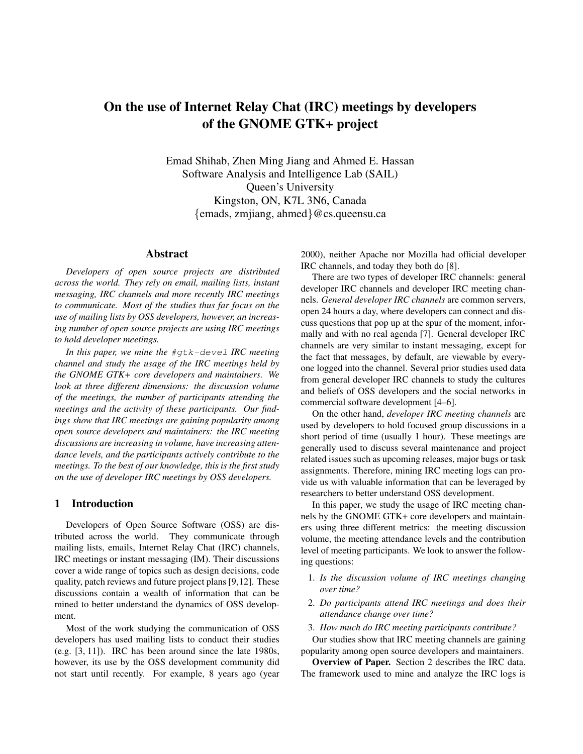# On the use of Internet Relay Chat (IRC) meetings by developers of the GNOME GTK+ project

Emad Shihab, Zhen Ming Jiang and Ahmed E. Hassan Software Analysis and Intelligence Lab (SAIL) Queen's University Kingston, ON, K7L 3N6, Canada {emads, zmjiang, ahmed}@cs.queensu.ca

#### Abstract

*Developers of open source projects are distributed across the world. They rely on email, mailing lists, instant messaging, IRC channels and more recently IRC meetings to communicate. Most of the studies thus far focus on the use of mailing lists by OSS developers, however, an increasing number of open source projects are using IRC meetings to hold developer meetings.*

*In this paper, we mine the* #gtk-devel *IRC meeting channel and study the usage of the IRC meetings held by the GNOME GTK+ core developers and maintainers. We look at three different dimensions: the discussion volume of the meetings, the number of participants attending the meetings and the activity of these participants. Our findings show that IRC meetings are gaining popularity among open source developers and maintainers: the IRC meeting discussions are increasing in volume, have increasing attendance levels, and the participants actively contribute to the meetings. To the best of our knowledge, this is the first study on the use of developer IRC meetings by OSS developers.*

# 1 Introduction

Developers of Open Source Software (OSS) are distributed across the world. They communicate through mailing lists, emails, Internet Relay Chat (IRC) channels, IRC meetings or instant messaging (IM). Their discussions cover a wide range of topics such as design decisions, code quality, patch reviews and future project plans [9,12]. These discussions contain a wealth of information that can be mined to better understand the dynamics of OSS development.

Most of the work studying the communication of OSS developers has used mailing lists to conduct their studies (e.g. [3, 11]). IRC has been around since the late 1980s, however, its use by the OSS development community did not start until recently. For example, 8 years ago (year 2000), neither Apache nor Mozilla had official developer IRC channels, and today they both do [8].

There are two types of developer IRC channels: general developer IRC channels and developer IRC meeting channels. *General developer IRC channels* are common servers, open 24 hours a day, where developers can connect and discuss questions that pop up at the spur of the moment, informally and with no real agenda [7]. General developer IRC channels are very similar to instant messaging, except for the fact that messages, by default, are viewable by everyone logged into the channel. Several prior studies used data from general developer IRC channels to study the cultures and beliefs of OSS developers and the social networks in commercial software development [4–6].

On the other hand, *developer IRC meeting channels* are used by developers to hold focused group discussions in a short period of time (usually 1 hour). These meetings are generally used to discuss several maintenance and project related issues such as upcoming releases, major bugs or task assignments. Therefore, mining IRC meeting logs can provide us with valuable information that can be leveraged by researchers to better understand OSS development.

In this paper, we study the usage of IRC meeting channels by the GNOME GTK+ core developers and maintainers using three different metrics: the meeting discussion volume, the meeting attendance levels and the contribution level of meeting participants. We look to answer the following questions:

- 1. *Is the discussion volume of IRC meetings changing over time?*
- 2. *Do participants attend IRC meetings and does their attendance change over time?*
- 3. *How much do IRC meeting participants contribute?*

Our studies show that IRC meeting channels are gaining popularity among open source developers and maintainers.

Overview of Paper. Section 2 describes the IRC data. The framework used to mine and analyze the IRC logs is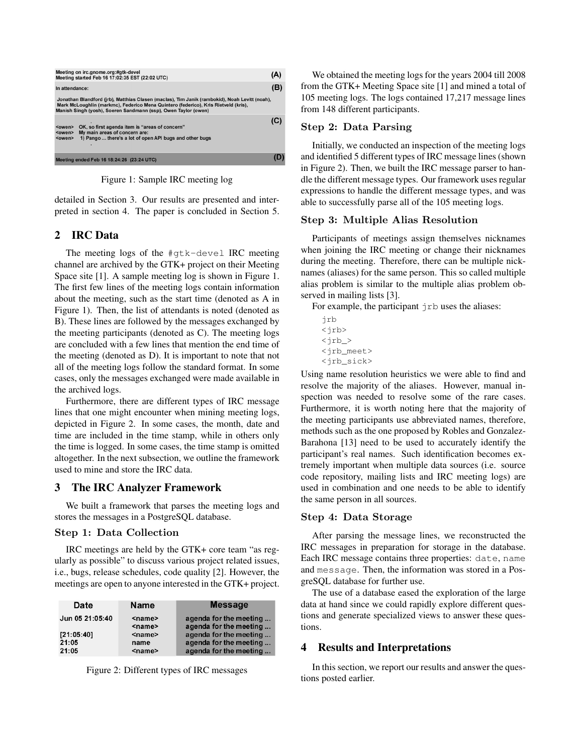

Figure 1: Sample IRC meeting log

detailed in Section 3. Our results are presented and interpreted in section 4. The paper is concluded in Section 5.

# 2 IRC Data

The meeting logs of the #gtk-devel IRC meeting channel are archived by the GTK+ project on their Meeting Space site [1]. A sample meeting log is shown in Figure 1. The first few lines of the meeting logs contain information about the meeting, such as the start time (denoted as A in Figure 1). Then, the list of attendants is noted (denoted as B). These lines are followed by the messages exchanged by the meeting participants (denoted as C). The meeting logs are concluded with a few lines that mention the end time of the meeting (denoted as D). It is important to note that not all of the meeting logs follow the standard format. In some cases, only the messages exchanged were made available in the archived logs.

Furthermore, there are different types of IRC message lines that one might encounter when mining meeting logs, depicted in Figure 2. In some cases, the month, date and time are included in the time stamp, while in others only the time is logged. In some cases, the time stamp is omitted altogether. In the next subsection, we outline the framework used to mine and store the IRC data.

# 3 The IRC Analyzer Framework

We built a framework that parses the meeting logs and stores the messages in a PostgreSQL database.

# Step 1: Data Collection

IRC meetings are held by the GTK+ core team "as regularly as possible" to discuss various project related issues, i.e., bugs, release schedules, code quality [2]. However, the meetings are open to anyone interested in the GTK+ project.

| Date                         | <b>Name</b>                              | <b>Message</b>                                                             |
|------------------------------|------------------------------------------|----------------------------------------------------------------------------|
| Jun 05 21:05:40              | $name$<br><name></name>                  | agenda for the meeting<br>agenda for the meeting                           |
| [21:05:40]<br>21:05<br>21:05 | <name><br/>name<br/><name></name></name> | agenda for the meeting<br>agenda for the meeting<br>agenda for the meeting |

Figure 2: Different types of IRC messages

We obtained the meeting logs for the years 2004 till 2008 from the GTK+ Meeting Space site [1] and mined a total of 105 meeting logs. The logs contained 17,217 message lines from 148 different participants.

### Step 2: Data Parsing

Initially, we conducted an inspection of the meeting logs and identified 5 different types of IRC message lines (shown in Figure 2). Then, we built the IRC message parser to handle the different message types. Our framework uses regular expressions to handle the different message types, and was able to successfully parse all of the 105 meeting logs.

### Step 3: Multiple Alias Resolution

Participants of meetings assign themselves nicknames when joining the IRC meeting or change their nicknames during the meeting. Therefore, there can be multiple nicknames (aliases) for the same person. This so called multiple alias problem is similar to the multiple alias problem observed in mailing lists [3].

For example, the participant  $\uparrow$  rb uses the aliases:

jrb <jrb>  $\langle \text{irb} \rangle$ <jrb\_meet> <jrb\_sick>

Using name resolution heuristics we were able to find and resolve the majority of the aliases. However, manual inspection was needed to resolve some of the rare cases. Furthermore, it is worth noting here that the majority of the meeting participants use abbreviated names, therefore, methods such as the one proposed by Robles and Gonzalez-Barahona [13] need to be used to accurately identify the participant's real names. Such identification becomes extremely important when multiple data sources (i.e. source code repository, mailing lists and IRC meeting logs) are used in combination and one needs to be able to identify the same person in all sources.

### Step 4: Data Storage

After parsing the message lines, we reconstructed the IRC messages in preparation for storage in the database. Each IRC message contains three properties: date, name and message. Then, the information was stored in a PosgreSQL database for further use.

The use of a database eased the exploration of the large data at hand since we could rapidly explore different questions and generate specialized views to answer these questions.

## **Results and Interpretations**

In this section, we report our results and answer the questions posted earlier.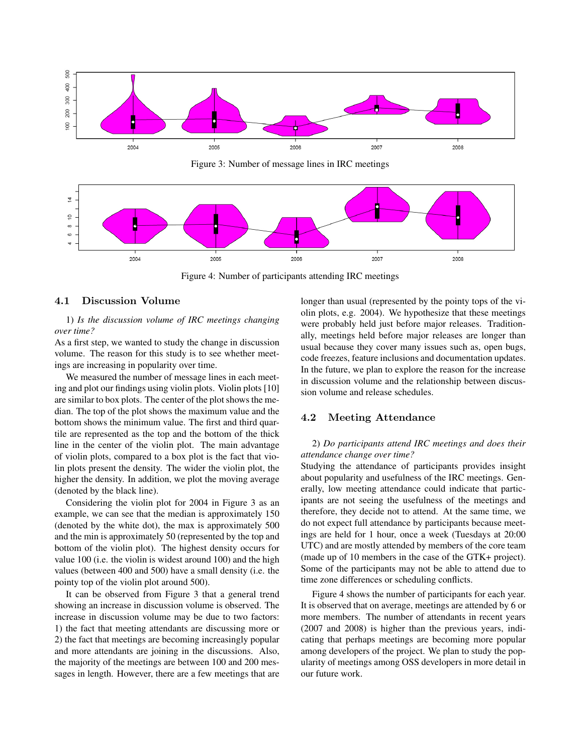

Figure 3: Number of message lines in IRC meetings



Figure 4: Number of participants attending IRC meetings

#### 4.1 Discussion Volume

1) *Is the discussion volume of IRC meetings changing over time?*

As a first step, we wanted to study the change in discussion volume. The reason for this study is to see whether meetings are increasing in popularity over time.

We measured the number of message lines in each meeting and plot our findings using violin plots. Violin plots [10] are similar to box plots. The center of the plot shows the median. The top of the plot shows the maximum value and the bottom shows the minimum value. The first and third quartile are represented as the top and the bottom of the thick line in the center of the violin plot. The main advantage of violin plots, compared to a box plot is the fact that violin plots present the density. The wider the violin plot, the higher the density. In addition, we plot the moving average (denoted by the black line).

Considering the violin plot for 2004 in Figure 3 as an example, we can see that the median is approximately 150 (denoted by the white dot), the max is approximately 500 and the min is approximately 50 (represented by the top and bottom of the violin plot). The highest density occurs for value 100 (i.e. the violin is widest around 100) and the high values (between 400 and 500) have a small density (i.e. the pointy top of the violin plot around 500).

It can be observed from Figure 3 that a general trend showing an increase in discussion volume is observed. The increase in discussion volume may be due to two factors: 1) the fact that meeting attendants are discussing more or 2) the fact that meetings are becoming increasingly popular and more attendants are joining in the discussions. Also, the majority of the meetings are between 100 and 200 messages in length. However, there are a few meetings that are longer than usual (represented by the pointy tops of the violin plots, e.g. 2004). We hypothesize that these meetings were probably held just before major releases. Traditionally, meetings held before major releases are longer than usual because they cover many issues such as, open bugs, code freezes, feature inclusions and documentation updates. In the future, we plan to explore the reason for the increase in discussion volume and the relationship between discussion volume and release schedules.

## 4.2 Meeting Attendance

## 2) *Do participants attend IRC meetings and does their attendance change over time?*

Studying the attendance of participants provides insight about popularity and usefulness of the IRC meetings. Generally, low meeting attendance could indicate that participants are not seeing the usefulness of the meetings and therefore, they decide not to attend. At the same time, we do not expect full attendance by participants because meetings are held for 1 hour, once a week (Tuesdays at 20:00 UTC) and are mostly attended by members of the core team (made up of 10 members in the case of the GTK+ project). Some of the participants may not be able to attend due to time zone differences or scheduling conflicts.

Figure 4 shows the number of participants for each year. It is observed that on average, meetings are attended by 6 or more members. The number of attendants in recent years (2007 and 2008) is higher than the previous years, indicating that perhaps meetings are becoming more popular among developers of the project. We plan to study the popularity of meetings among OSS developers in more detail in our future work.